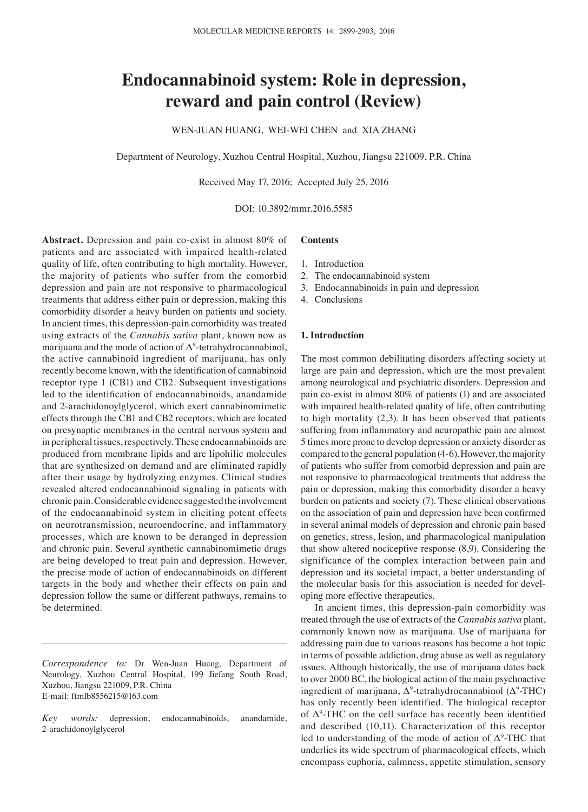# **Endocannabinoid system: Role in depression, reward and pain control (Review)**

WEN-JUAN HUANG, WEI-WEI CHEN and XIA ZHANG

Department of Neurology, Xuzhou Central Hospital, Xuzhou, Jiangsu 221009, P.R. China

Received May 17, 2016; Accepted July 25, 2016

DOI: 10.3892/mmr.2016.5585

**Abstract.** Depression and pain co-exist in almost 80% of patients and are associated with impaired health-related quality of life, often contributing to high mortality. However, the majority of patients who suffer from the comorbid depression and pain are not responsive to pharmacological treatments that address either pain or depression, making this comorbidity disorder a heavy burden on patients and society. In ancient times, this depression-pain comorbidity was treated using extracts of the *Cannabis sativa* plant, known now as marijuana and the mode of action of  $\Delta^9$ -tetrahydrocannabinol, the active cannabinoid ingredient of marijuana, has only recently become known, with the identification of cannabinoid receptor type 1 (CB1) and CB2. Subsequent investigations led to the identification of endocannabinoids, anandamide and 2-arachidonoylglycerol, which exert cannabinomimetic effects through the CB1 and CB2 receptors, which are located on presynaptic membranes in the central nervous system and in peripheral tissues, respectively. These endocannabinoids are produced from membrane lipids and are lipohilic molecules that are synthesized on demand and are eliminated rapidly after their usage by hydrolyzing enzymes. Clinical studies revealed altered endocannabinoid signaling in patients with chronic pain. Considerable evidence suggested the involvement of the endocannabinoid system in eliciting potent effects on neurotransmission, neuroendocrine, and inflammatory processes, which are known to be deranged in depression and chronic pain. Several synthetic cannabinomimetic drugs are being developed to treat pain and depression. However, the precise mode of action of endocannabinoids on different targets in the body and whether their effects on pain and depression follow the same or different pathways, remains to be determined.

*Correspondence to:* Dr Wen-Juan Huang, Department of Neurology, Xuzhou Central Hospital, 199 Jiefang South Road, Xuzhou, Jiangsu 221009, P.R. China E-mail: ftmlb8556215@163.com

*Key words:* depression, endocannabinoids, anandamide, 2-arachidonoylglycerol

## **Contents**

- 1. Introduction
- 2. The endocannabinoid system
- 3. Endocannabinoids in pain and depression
- 4. Conclusions

## **1. Introduction**

The most common debilitating disorders affecting society at large are pain and depression, which are the most prevalent among neurological and psychiatric disorders. Depression and pain co-exist in almost 80% of patients (1) and are associated with impaired health-related quality of life, often contributing to high mortality (2,3). It has been observed that patients suffering from inflammatory and neuropathic pain are almost 5 times more prone to develop depression or anxiety disorder as compared to the general population (4-6). However, the majority of patients who suffer from comorbid depression and pain are not responsive to pharmacological treatments that address the pain or depression, making this comorbidity disorder a heavy burden on patients and society (7). These clinical observations on the association of pain and depression have been confirmed in several animal models of depression and chronic pain based on genetics, stress, lesion, and pharmacological manipulation that show altered nociceptive response (8,9). Considering the significance of the complex interaction between pain and depression and its societal impact, a better understanding of the molecular basis for this association is needed for developing more effective therapeutics.

In ancient times, this depression-pain comorbidity was treated through the use of extracts of the *Cannabis sativa* plant, commonly known now as marijuana. Use of marijuana for addressing pain due to various reasons has become a hot topic in terms of possible addiction, drug abuse as well as regulatory issues. Although historically, the use of marijuana dates back to over 2000 BC, the biological action of the main psychoactive ingredient of marijuana,  $\Delta^9$ -tetrahydrocannabinol ( $\Delta^9$ -THC) has only recently been identified. The biological receptor of  $\Delta^9$ -THC on the cell surface has recently been identified and described (10,11). Characterization of this receptor led to understanding of the mode of action of  $\Delta^9$ -THC that underlies its wide spectrum of pharmacological effects, which encompass euphoria, calmness, appetite stimulation, sensory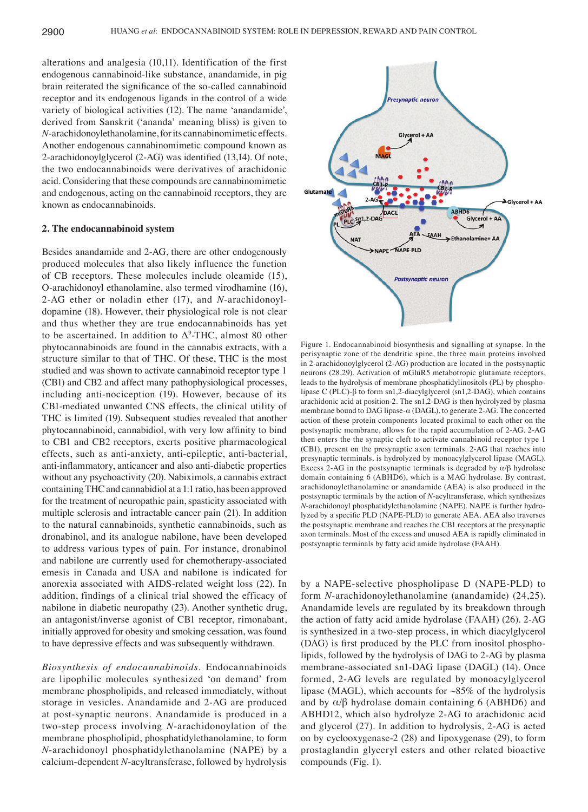alterations and analgesia (10,11). Identification of the first endogenous cannabinoid-like substance, anandamide, in pig brain reiterated the significance of the so-called cannabinoid receptor and its endogenous ligands in the control of a wide variety of biological activities (12). The name 'anandamide', derived from Sanskrit ('ananda' meaning bliss) is given to *N*-arachidonoylethanolamine, for its cannabinomimetic effects. Another endogenous cannabinomimetic compound known as 2‑arachidonoylglycerol (2‑AG) was identified (13,14). Of note, the two endocannabinoids were derivatives of arachidonic acid. Considering that these compounds are cannabinomimetic and endogenous, acting on the cannabinoid receptors, they are known as endocannabinoids.

#### **2. The endocannabinoid system**

Besides anandamide and 2-AG, there are other endogenously produced molecules that also likely influence the function of CB receptors. These molecules include oleamide (15), O-arachidonoyl ethanolamine, also termed virodhamine (16), 2-AG ether or noladin ether (17), and *N*-arachidonoyldopamine (18). However, their physiological role is not clear and thus whether they are true endocannabinoids has yet to be ascertained. In addition to  $\Delta^9$ -THC, almost 80 other phytocannabinoids are found in the cannabis extracts, with a structure similar to that of THC. Of these, THC is the most studied and was shown to activate cannabinoid receptor type 1 (CB1) and CB2 and affect many pathophysiological processes, including anti-nociception (19). However, because of its CB1-mediated unwanted CNS effects, the clinical utility of THC is limited (19). Subsequent studies revealed that another phytocannabinoid, cannabidiol, with very low affinity to bind to CB1 and CB2 receptors, exerts positive pharmacological effects, such as anti-anxiety, anti-epileptic, anti-bacterial, anti‑inflammatory, anticancer and also anti‑diabetic properties without any psychoactivity (20). Nabiximols, a cannabis extract containing THC and cannabidiol at a 1:1 ratio, has been approved for the treatment of neuropathic pain, spasticity associated with multiple sclerosis and intractable cancer pain (21). In addition to the natural cannabinoids, synthetic cannabinoids, such as dronabinol, and its analogue nabilone, have been developed to address various types of pain. For instance, dronabinol and nabilone are currently used for chemotherapy-associated emesis in Canada and USA and nabilone is indicated for anorexia associated with AIDS-related weight loss (22). In addition, findings of a clinical trial showed the efficacy of nabilone in diabetic neuropathy (23). Another synthetic drug, an antagonist/inverse agonist of CB1 receptor, rimonabant, initially approved for obesity and smoking cessation, was found to have depressive effects and was subsequently withdrawn.

*Biosynthesis of endocannabinoids.* Endocannabinoids are lipophilic molecules synthesized 'on demand' from membrane phospholipids, and released immediately, without storage in vesicles. Anandamide and 2-AG are produced at post-synaptic neurons. Anandamide is produced in a two-step process involving *N*-arachidonoylation of the membrane phospholipid, phosphatidylethanolamine, to form *N*-arachidonoyl phosphatidylethanolamine (NAPE) by a calcium-dependent *N*-acyltransferase, followed by hydrolysis



Figure 1. Endocannabinoid biosynthesis and signalling at synapse. In the perisynaptic zone of the dendritic spine, the three main proteins involved in 2-arachidonoylglycerol (2-AG) production are located in the postsynaptic neurons (28,29). Activation of mGluR5 metabotropic glutamate receptors, leads to the hydrolysis of membrane phosphatidylinositols (PL) by phospholipase C (PLC)-β to form sn1,2-diacylglycerol (sn1,2-DAG), which contains arachidonic acid at position-2. The sn1,2-DAG is then hydrolyzed by plasma membrane bound to DAG lipase-α (DAGL), to generate 2-AG. The concerted action of these protein components located proximal to each other on the postsynaptic membrane, allows for the rapid accumulation of 2-AG. 2-AG then enters the the synaptic cleft to activate cannabinoid receptor type 1 (CB1), present on the presynaptic axon terminals. 2-AG that reaches into presynaptic terminals, is hydrolyzed by monoacylglycerol lipase (MAGL). Excess 2-AG in the postsynaptic terminals is degraded by  $\alpha/\beta$  hydrolase domain containing 6 (ABHD6), which is a MAG hydrolase. By contrast, arachidonoylethanolamine or anandamide (AEA) is also produced in the postsynaptic terminals by the action of *N*-acyltransferase, which synthesizes *N*-arachidonoyl phosphatidylethanolamine (NAPE). NAPE is further hydrolyzed by a specific PLD (NAPE‑PLD) to generate AEA. AEA also traverses the postsynaptic membrane and reaches the CB1 receptors at the presynaptic axon terminals. Most of the excess and unused AEA is rapidly eliminated in postsynaptic terminals by fatty acid amide hydrolase (FAAH).

by a NAPE-selective phospholipase D (NAPE-PLD) to form *N*-arachidonoylethanolamine (anandamide) (24,25). Anandamide levels are regulated by its breakdown through the action of fatty acid amide hydrolase (FAAH) (26). 2-AG is synthesized in a two-step process, in which diacylglycerol (DAG) is first produced by the PLC from inositol phospholipids, followed by the hydrolysis of DAG to 2-AG by plasma membrane-associated sn1-DAG lipase (DAGL) (14). Once formed, 2-AG levels are regulated by monoacylglycerol lipase (MAGL), which accounts for  $~85\%$  of the hydrolysis and by  $\alpha/\beta$  hydrolase domain containing 6 (ABHD6) and ABHD12, which also hydrolyze 2-AG to arachidonic acid and glycerol (27). In addition to hydrolysis, 2-AG is acted on by cyclooxygenase-2 (28) and lipoxygenase (29), to form prostaglandin glyceryl esters and other related bioactive compounds (Fig. 1).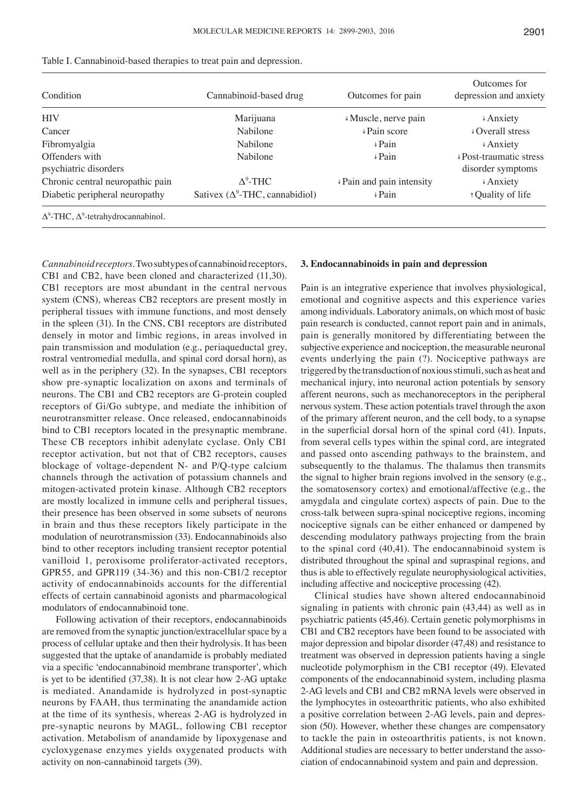| Condition                                          | Cannabinoid-based drug                  | Outcomes for pain         | Outcomes for<br>depression and anxiety                     |  |  |  |
|----------------------------------------------------|-----------------------------------------|---------------------------|------------------------------------------------------------|--|--|--|
| <b>HIV</b>                                         | Marijuana                               | ↓ Muscle, nerve pain      | $\triangle$ Anxiety                                        |  |  |  |
| Cancer                                             | Nabilone                                | $\sqrt{P}$ Pain score     | $\downarrow$ Overall stress                                |  |  |  |
| Fibromyalgia                                       | Nabilone                                | $\sqrt{P}$ ain            | $\triangle$ Anxiety                                        |  |  |  |
| Offenders with<br>psychiatric disorders            | Nabilone                                | $\sqrt{P}$ ain            | $\sqrt{\text{Post-traumatic stress}}$<br>disorder symptoms |  |  |  |
| Chronic central neuropathic pain                   | $\Delta^9$ -THC                         | ↓ Pain and pain intensity | $\triangle$ Anxiety                                        |  |  |  |
| Diabetic peripheral neuropathy                     | Sativex ( $\Delta^9$ -THC, cannabidiol) | $\sqrt{P}$ ain            | ↑ Quality of life                                          |  |  |  |
| $\Delta^9$ -THC, $\Delta^9$ -tetrahydrocannabinol. |                                         |                           |                                                            |  |  |  |

|  |  |  |  |  |  |  |  |  | Table I. Cannabinoid-based therapies to treat pain and depression. |  |  |  |  |  |  |  |  |
|--|--|--|--|--|--|--|--|--|--------------------------------------------------------------------|--|--|--|--|--|--|--|--|
|--|--|--|--|--|--|--|--|--|--------------------------------------------------------------------|--|--|--|--|--|--|--|--|

*Cannabinoid receptors.* Two subtypes of cannabinoid receptors, CB1 and CB2, have been cloned and characterized (11,30). CB1 receptors are most abundant in the central nervous system (CNS), whereas CB2 receptors are present mostly in peripheral tissues with immune functions, and most densely in the spleen (31). In the CNS, CB1 receptors are distributed densely in motor and limbic regions, in areas involved in pain transmission and modulation (e.g., periaqueductal grey, rostral ventromedial medulla, and spinal cord dorsal horn), as well as in the periphery (32). In the synapses, CB1 receptors show pre-synaptic localization on axons and terminals of neurons. The CB1 and CB2 receptors are G-protein coupled receptors of Gi/Go subtype, and mediate the inhibition of neurotransmitter release. Once released, endocannabinoids bind to CB1 receptors located in the presynaptic membrane. These CB receptors inhibit adenylate cyclase. Only CB1 receptor activation, but not that of CB2 receptors, causes blockage of voltage-dependent N- and P/Q-type calcium channels through the activation of potassium channels and mitogen-activated protein kinase. Although CB2 receptors are mostly localized in immune cells and peripheral tissues, their presence has been observed in some subsets of neurons in brain and thus these receptors likely participate in the modulation of neurotransmission (33). Endocannabinoids also bind to other receptors including transient receptor potential vanilloid 1, peroxisome proliferator-activated receptors, GPR55, and GPR119 (34-36) and this non-CB1/2 receptor activity of endocannabinoids accounts for the differential effects of certain cannabinoid agonists and pharmacological modulators of endocannabinoid tone.

Following activation of their receptors, endocannabinoids are removed from the synaptic junction/extracellular space by a process of cellular uptake and then their hydrolysis. It has been suggested that the uptake of anandamide is probably mediated via a specific 'endocannabinoid membrane transporter', which is yet to be identified (37,38). It is not clear how 2‑AG uptake is mediated. Anandamide is hydrolyzed in post-synaptic neurons by FAAH, thus terminating the anandamide action at the time of its synthesis, whereas 2-AG is hydrolyzed in pre-synaptic neurons by MAGL, following CB1 receptor activation. Metabolism of anandamide by lipoxygenase and cycloxygenase enzymes yields oxygenated products with activity on non-cannabinoid targets (39).

## **3. Endocannabinoids in pain and depression**

Pain is an integrative experience that involves physiological, emotional and cognitive aspects and this experience varies among individuals. Laboratory animals, on which most of basic pain research is conducted, cannot report pain and in animals, pain is generally monitored by differentiating between the subjective experience and nociception, the measurable neuronal events underlying the pain (?). Nociceptive pathways are triggered by the transduction of noxious stimuli, such as heat and mechanical injury, into neuronal action potentials by sensory afferent neurons, such as mechanoreceptors in the peripheral nervous system. These action potentials travel through the axon of the primary afferent neuron, and the cell body, to a synapse in the superficial dorsal horn of the spinal cord (41). Inputs, from several cells types within the spinal cord, are integrated and passed onto ascending pathways to the brainstem, and subsequently to the thalamus. The thalamus then transmits the signal to higher brain regions involved in the sensory (e.g., the somatosensory cortex) and emotional/affective (e.g., the amygdala and cingulate cortex) aspects of pain. Due to the cross-talk between supra-spinal nociceptive regions, incoming nociceptive signals can be either enhanced or dampened by descending modulatory pathways projecting from the brain to the spinal cord (40,41). The endocannabinoid system is distributed throughout the spinal and supraspinal regions, and thus is able to effectively regulate neurophysiological activities, including affective and nociceptive processing (42).

Clinical studies have shown altered endocannabinoid signaling in patients with chronic pain (43,44) as well as in psychiatric patients (45,46). Certain genetic polymorphisms in CB1 and CB2 receptors have been found to be associated with major depression and bipolar disorder (47,48) and resistance to treatment was observed in depression patients having a single nucleotide polymorphism in the CB1 receptor (49). Elevated components of the endocannabinoid system, including plasma 2-AG levels and CB1 and CB2 mRNA levels were observed in the lymphocytes in osteoarthritic patients, who also exhibited a positive correlation between 2-AG levels, pain and depression (50). However, whether these changes are compensatory to tackle the pain in osteoarthritis patients, is not known. Additional studies are necessary to better understand the association of endocannabinoid system and pain and depression.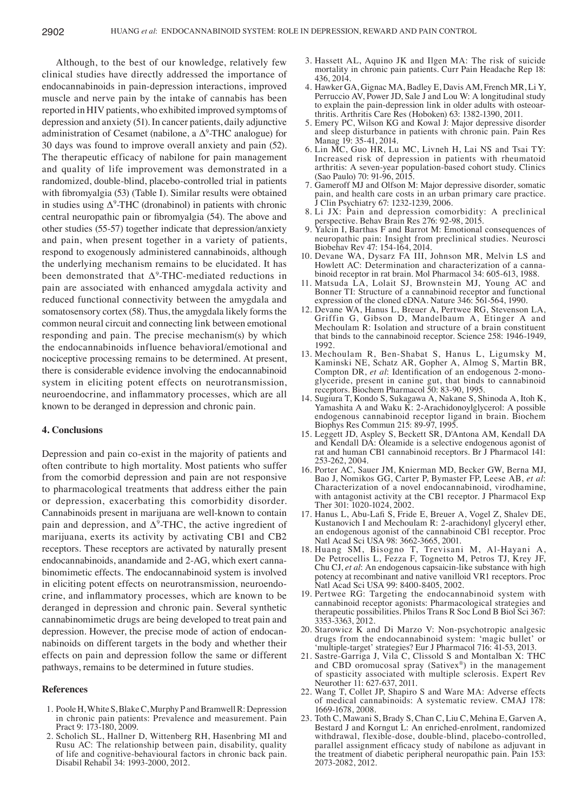Although, to the best of our knowledge, relatively few clinical studies have directly addressed the importance of endocannabinoids in pain-depression interactions, improved muscle and nerve pain by the intake of cannabis has been reported in HIV patients, who exhibited improved symptoms of depression and anxiety (51). In cancer patients, daily adjunctive administration of Cesamet (nabilone, a  $\Delta^9$ -THC analogue) for 30 days was found to improve overall anxiety and pain (52). The therapeutic efficacy of nabilone for pain management and quality of life improvement was demonstrated in a randomized, double-blind, placebo-controlled trial in patients with fibromyalgia (53) (Table I). Similar results were obtained in studies using  $\Delta^9$ -THC (dronabinol) in patients with chronic central neuropathic pain or fibromyalgia (54). The above and other studies (55-57) together indicate that depression/anxiety and pain, when present together in a variety of patients, respond to exogenously administered cannabinoids, although the underlying mechanism remains to be elucidated. It has been demonstrated that  $\Delta^9$ -THC-mediated reductions in pain are associated with enhanced amygdala activity and reduced functional connectivity between the amygdala and somatosensory cortex (58). Thus, the amygdala likely forms the common neural circuit and connecting link between emotional responding and pain. The precise mechanism(s) by which the endocannabinoids influence behavioral/emotional and nociceptive processing remains to be determined. At present, there is considerable evidence involving the endocannabinoid system in eliciting potent effects on neurotransmission, neuroendocrine, and inflammatory processes, which are all known to be deranged in depression and chronic pain.

### **4. Conclusions**

Depression and pain co-exist in the majority of patients and often contribute to high mortality. Most patients who suffer from the comorbid depression and pain are not responsive to pharmacological treatments that address either the pain or depression, exacerbating this comorbidity disorder. Cannabinoids present in marijuana are well-known to contain pain and depression, and  $\Delta^9$ -THC, the active ingredient of marijuana, exerts its activity by activating CB1 and CB2 receptors. These receptors are activated by naturally present endocannabinoids, anandamide and 2-AG, which exert cannabinomimetic effects. The endocannabinoid system is involved in eliciting potent effects on neurotransmission, neuroendocrine, and inflammatory processes, which are known to be deranged in depression and chronic pain. Several synthetic cannabinomimetic drugs are being developed to treat pain and depression. However, the precise mode of action of endocannabinoids on different targets in the body and whether their effects on pain and depression follow the same or different pathways, remains to be determined in future studies.

## **References**

- 1. Poole H, White S, Blake C, Murphy P and Bramwell R: Depression in chronic pain patients: Prevalence and measurement. Pain Pract 9: 173-180, 2009.
- 2. Scholich SL, Hallner D, Wittenberg RH, Hasenbring MI and Rusu AC: The relationship between pain, disability, quality of life and cognitive-behavioural factors in chronic back pain. Disabil Rehabil 34: 1993-2000, 2012.
- 3. Hassett AL, Aquino JK and Ilgen MA: The risk of suicide mortality in chronic pain patients. Curr Pain Headache Rep 18: 436, 2014.
- 4. Hawker GA, Gignac MA, Badley E, Davis AM, French MR, Li Y, Perruccio AV, Power JD, Sale J and Lou W: A longitudinal study to explain the pain-depression link in older adults with osteoarthritis. Arthritis Care Res (Hoboken) 63: 1382-1390, 2011.
- 5. Emery PC, Wilson KG and Kowal J: Major depressive disorder and sleep disturbance in patients with chronic pain. Pain Res Manag 19: 35-41, 2014.
- 6. Lin MC, Guo HR, Lu MC, Livneh H, Lai NS and Tsai TY: Increased risk of depression in patients with rheumatoid arthritis: A seven-year population-based cohort study. Clinics (Sao Paulo) 70: 91-96, 2015.
- 7. Gameroff MJ and Olfson M: Major depressive disorder, somatic pain, and health care costs in an urban primary care practice. J Clin Psychiatry 67: 1232-1239, 2006.
- 8. Li JX: Pain and depression comorbidity: A preclinical perspective. Behav Brain Res 276: 92-98, 2015.
- 9. Yalcin I, Barthas F and Barrot M: Emotional consequences of neuropathic pain: Insight from preclinical studies. Neurosci Biobehav Rev 47: 154-164, 2014.
- 10. Devane WA, Dysarz FA III, Johnson MR, Melvin LS and Howlett AC: Determination and characterization of a cannabinoid receptor in rat brain. Mol Pharmacol 34: 605-613, 1988.
- 11. Matsuda LA, Lolait SJ, Brownstein MJ, Young AC and Bonner TI: Structure of a cannabinoid receptor and functional expression of the cloned cDNA. Nature 346: 561-564, 1990.
- 12. Devane WA, Hanus L, Breuer A, Pertwee RG, Stevenson LA, Griffin G, Gibson D, Mandelbaum A, Etinger A and Mechoulam R: Isolation and structure of a brain constituent that binds to the cannabinoid receptor. Science 258: 1946-1949, 1992.
- 13. Mechoulam R, Ben-Shabat S, Hanus L, Ligumsky M, Kaminski NE, Schatz AR, Gopher A, Almog S, Martin BR, Compton DR, *et al*: Identification of an endogenous 2‑monoglyceride, present in canine gut, that binds to cannabinoid receptors. Biochem Pharmacol 50: 83-90, 1995.
- 14. Sugiura T, Kondo S, Sukagawa A, Nakane S, Shinoda A, Itoh K, Yamashita A and Waku K: 2-Arachidonoylglycerol: A possible endogenous cannabinoid receptor ligand in brain. Biochem Biophys Res Commun 215: 89-97, 1995.
- 15. Leggett JD, Aspley S, Beckett SR, D'Antona AM, Kendall DA and Kendall DA: Oleamide is a selective endogenous agonist of rat and human CB1 cannabinoid receptors. Br J Pharmacol 141: 253-262, 2004.
- 16. Porter AC, Sauer JM, Knierman MD, Becker GW, Berna MJ, Bao J, Nomikos GG, Carter P, Bymaster FP, Leese AB, *et al*: Characterization of a novel endocannabinoid, virodhamine, with antagonist activity at the CB1 receptor. J Pharmacol Exp Ther 301: 1020-1024, 2002.
- 17. Hanus L, Abu‑Lafi S, Fride E, Breuer A, Vogel Z, Shalev DE, Kustanovich I and Mechoulam R: 2-arachidonyl glyceryl ether, an endogenous agonist of the cannabinoid CB1 receptor. Proc Natl Acad Sci USA 98: 3662-3665, 2001.
- 18. Huang SM, Bisogno T, Trevisani M, Al-Hayani A, De Petrocellis L, Fezza F, Tognetto M, Petros TJ, Krey JF, Chu CJ, *et al*: An endogenous capsaicin-like substance with high potency at recombinant and native vanilloid VR1 receptors. Proc Natl Acad Sci USA 99: 8400-8405, 2002.
- 19. Pertwee RG: Targeting the endocannabinoid system with cannabinoid receptor agonists: Pharmacological strategies and therapeutic possibilities. Philos Trans R Soc Lond B Biol Sci 367: 3353-3363, 2012.
- 20. Starowicz K and Di Marzo V: Non-psychotropic analgesic drugs from the endocannabinoid system: 'magic bullet' or 'multiple-target' strategies? Eur J Pharmacol 716: 41-53, 2013.
- 21. Sastre-Garriga J, Vila C, Clissold S and Montalban X: THC and CBD oromucosal spray (Sativex®) in the management of spasticity associated with multiple sclerosis. Expert Rev Neurother 11: 627-637, 2011.
- 22. Wang T, Collet JP, Shapiro S and Ware MA: Adverse effects of medical cannabinoids: A systematic review. CMAJ 178: 1669-1678, 2008.
- 23. Toth C, Mawani S, Brady S, Chan C, Liu C, Mehina E, Garven A, Bestard J and Korngut L: An enriched-enrolment, randomized withdrawal, flexible-dose, double-blind, placebo-controlled, parallel assignment efficacy study of nabilone as adjuvant in the treatment of diabetic peripheral neuropathic pain. Pain 153: 2073-2082, 2012.